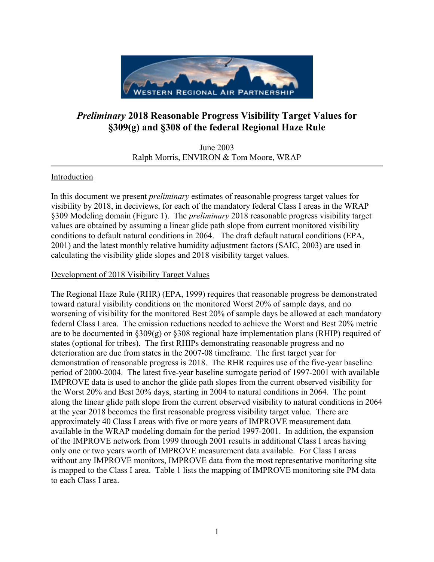

# *Preliminary* **2018 Reasonable Progress Visibility Target Values for §309(g) and §308 of the federal Regional Haze Rule**

June 2003 Ralph Morris, ENVIRON & Tom Moore, WRAP

# Introduction

In this document we present *preliminary* estimates of reasonable progress target values for visibility by 2018, in deciviews, for each of the mandatory federal Class I areas in the WRAP §309 Modeling domain (Figure 1). The *preliminary* 2018 reasonable progress visibility target values are obtained by assuming a linear glide path slope from current monitored visibility conditions to default natural conditions in 2064. The draft default natural conditions (EPA, 2001) and the latest monthly relative humidity adjustment factors (SAIC, 2003) are used in calculating the visibility glide slopes and 2018 visibility target values.

# Development of 2018 Visibility Target Values

The Regional Haze Rule (RHR) (EPA, 1999) requires that reasonable progress be demonstrated toward natural visibility conditions on the monitored Worst 20% of sample days, and no worsening of visibility for the monitored Best 20% of sample days be allowed at each mandatory federal Class I area. The emission reductions needed to achieve the Worst and Best 20% metric are to be documented in  $\S 309(g)$  or  $\S 308$  regional haze implementation plans (RHIP) required of states (optional for tribes). The first RHIPs demonstrating reasonable progress and no deterioration are due from states in the 2007-08 timeframe. The first target year for demonstration of reasonable progress is 2018. The RHR requires use of the five-year baseline period of 2000-2004. The latest five-year baseline surrogate period of 1997-2001 with available IMPROVE data is used to anchor the glide path slopes from the current observed visibility for the Worst 20% and Best 20% days, starting in 2004 to natural conditions in 2064. The point along the linear glide path slope from the current observed visibility to natural conditions in 2064 at the year 2018 becomes the first reasonable progress visibility target value. There are approximately 40 Class I areas with five or more years of IMPROVE measurement data available in the WRAP modeling domain for the period 1997-2001. In addition, the expansion of the IMPROVE network from 1999 through 2001 results in additional Class I areas having only one or two years worth of IMPROVE measurement data available. For Class I areas without any IMPROVE monitors, IMPROVE data from the most representative monitoring site is mapped to the Class I area. Table 1 lists the mapping of IMPROVE monitoring site PM data to each Class I area.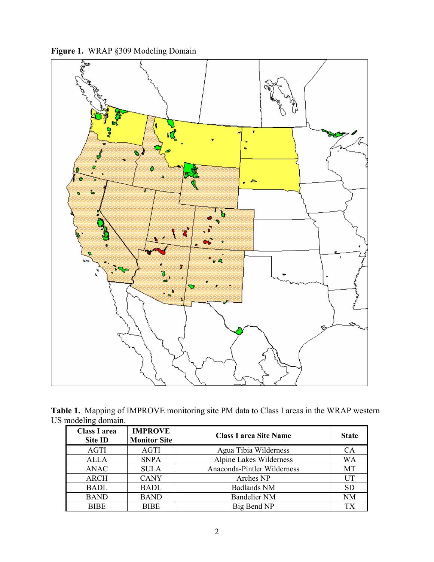**Figure 1.** WRAP §309 Modeling Domain



**Table 1.** Mapping of IMPROVE monitoring site PM data to Class I areas in the WRAP western US modeling domain.

| <b>Class I area</b><br><b>Site ID</b> | <b>IMPROVE</b><br><b>Monitor Site</b> | <b>Class I area Site Name</b> | <b>State</b>    |
|---------------------------------------|---------------------------------------|-------------------------------|-----------------|
| AGTI                                  | AGTI                                  | Agua Tibia Wilderness         | CA              |
| <b>ALLA</b>                           | <b>SNPA</b>                           | Alpine Lakes Wilderness       | <b>WA</b>       |
| ANAC                                  | <b>SULA</b>                           | Anaconda-Pintler Wilderness   | MT              |
| <b>ARCH</b>                           | <b>CANY</b>                           | Arches NP                     | UT              |
| <b>BADL</b>                           | <b>BADL</b>                           | <b>Badlands NM</b>            | <b>SD</b>       |
| <b>BAND</b>                           | <b>BAND</b>                           | <b>Bandelier NM</b>           | <b>NM</b>       |
| <b>BIBE</b>                           | <b>BIBE</b>                           | Big Bend NP                   | TX <sup>-</sup> |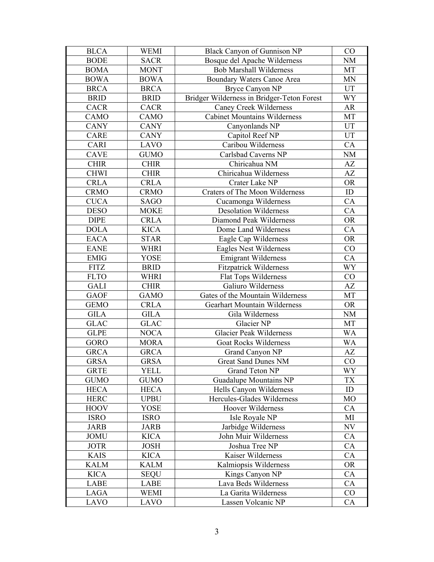| <b>BLCA</b> | <b>WEMI</b> | <b>Black Canyon of Gunnison NP</b>         | CO        |
|-------------|-------------|--------------------------------------------|-----------|
| <b>BODE</b> | <b>SACR</b> | Bosque del Apache Wilderness               | <b>NM</b> |
| <b>BOMA</b> | <b>MONT</b> | <b>Bob Marshall Wilderness</b>             | MT        |
| <b>BOWA</b> | <b>BOWA</b> | Boundary Waters Canoe Area                 | <b>MN</b> |
| <b>BRCA</b> | <b>BRCA</b> | <b>Bryce Canyon NP</b>                     | UT        |
| <b>BRID</b> | <b>BRID</b> | Bridger Wilderness in Bridger-Teton Forest | WY        |
| CACR        | CACR        | Caney Creek Wilderness                     | AR        |
| CAMO        | CAMO        | <b>Cabinet Mountains Wilderness</b>        | MT        |
| <b>CANY</b> | <b>CANY</b> | Canyonlands NP                             | <b>UT</b> |
| CARE        | <b>CANY</b> | Capitol Reef NP                            | UT        |
| CARI        | LAVO        | Caribou Wilderness                         | CA        |
| CAVE        | <b>GUMO</b> | Carlsbad Caverns NP                        | NM        |
| <b>CHIR</b> | <b>CHIR</b> | Chiricahua NM                              | AZ        |
| <b>CHWI</b> | <b>CHIR</b> | Chiricahua Wilderness                      | AZ        |
| <b>CRLA</b> | <b>CRLA</b> | Crater Lake NP                             | <b>OR</b> |
| <b>CRMO</b> | <b>CRMO</b> | <b>Craters of The Moon Wilderness</b>      | ID        |
| <b>CUCA</b> | <b>SAGO</b> | Cucamonga Wilderness                       | CA        |
| <b>DESO</b> | <b>MOKE</b> | <b>Desolation Wilderness</b>               | CA        |
| <b>DIPE</b> | <b>CRLA</b> | Diamond Peak Wilderness                    | <b>OR</b> |
| <b>DOLA</b> | <b>KICA</b> | Dome Land Wilderness                       | CA        |
| <b>EACA</b> | <b>STAR</b> | Eagle Cap Wilderness                       | <b>OR</b> |
| <b>EANE</b> | <b>WHRI</b> | <b>Eagles Nest Wilderness</b>              | CO        |
| <b>EMIG</b> | <b>YOSE</b> | <b>Emigrant Wilderness</b>                 | CA        |
| <b>FITZ</b> | <b>BRID</b> | <b>Fitzpatrick Wilderness</b>              | <b>WY</b> |
| <b>FLTO</b> | WHRI        | <b>Flat Tops Wilderness</b>                | CO        |
| <b>GALI</b> | <b>CHIR</b> | Galiuro Wilderness                         | AZ        |
| <b>GAOF</b> | <b>GAMO</b> | Gates of the Mountain Wilderness           | MT        |
| <b>GEMO</b> | <b>CRLA</b> | <b>Gearhart Mountain Wilderness</b>        | <b>OR</b> |
| <b>GILA</b> | <b>GILA</b> | Gila Wilderness                            | <b>NM</b> |
| <b>GLAC</b> | <b>GLAC</b> | Glacier NP                                 | MT        |
| <b>GLPE</b> | <b>NOCA</b> | <b>Glacier Peak Wilderness</b>             | WA        |
| <b>GORO</b> | <b>MORA</b> | <b>Goat Rocks Wilderness</b>               | <b>WA</b> |
| <b>GRCA</b> | <b>GRCA</b> | Grand Canyon NP                            | AZ        |
| <b>GRSA</b> | <b>GRSA</b> | <b>Great Sand Dunes NM</b>                 | CO        |
| <b>GRTE</b> | <b>YELL</b> | Grand Teton NP                             | WY        |
| <b>GUMO</b> | <b>GUMO</b> | <b>Guadalupe Mountains NP</b>              | <b>TX</b> |
| <b>HECA</b> | <b>HECA</b> | Hells Canyon Wilderness                    | ID        |
| <b>HERC</b> | <b>UPBU</b> | Hercules-Glades Wilderness                 | MO        |
| <b>HOOV</b> | <b>YOSE</b> | Hoover Wilderness                          | CA        |
| <b>ISRO</b> | <b>ISRO</b> | Isle Royale NP                             | MI        |
| <b>JARB</b> | <b>JARB</b> | Jarbidge Wilderness                        | NV        |
| <b>JOMU</b> | <b>KICA</b> | John Muir Wilderness                       | CA        |
| <b>JOTR</b> | <b>JOSH</b> | Joshua Tree NP                             | CA        |
| <b>KAIS</b> | <b>KICA</b> | Kaiser Wilderness                          | <b>CA</b> |
| KALM        | <b>KALM</b> | Kalmiopsis Wilderness                      | <b>OR</b> |
| <b>KICA</b> | <b>SEQU</b> | Kings Canyon NP                            | CA        |
| LABE        | LABE        | Lava Beds Wilderness                       | CA        |
| LAGA        | <b>WEMI</b> | La Garita Wilderness                       | CO        |
| LAVO        | LAVO        | Lassen Volcanic NP                         | CA        |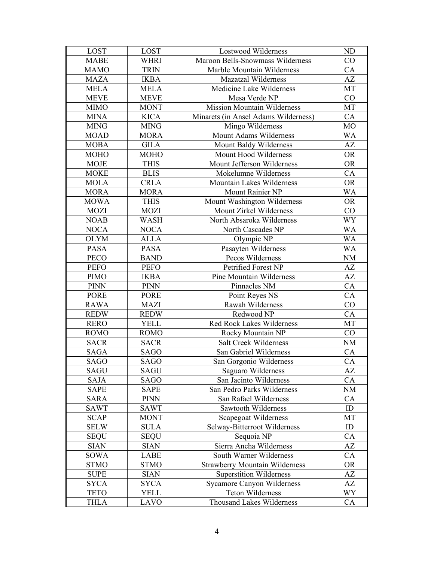| LOST        | <b>LOST</b> | <b>Lostwood Wilderness</b>            | <b>ND</b>      |
|-------------|-------------|---------------------------------------|----------------|
| <b>MABE</b> | <b>WHRI</b> | Maroon Bells-Snowmass Wilderness      | CO             |
| <b>MAMO</b> | <b>TRIN</b> | Marble Mountain Wilderness            | CA             |
| <b>MAZA</b> | <b>IKBA</b> | <b>Mazatzal Wilderness</b>            | AZ             |
| <b>MELA</b> | <b>MELA</b> | Medicine Lake Wilderness              | MT             |
| <b>MEVE</b> | <b>MEVE</b> | Mesa Verde NP                         | CO             |
| <b>MIMO</b> | <b>MONT</b> | <b>Mission Mountain Wilderness</b>    | MT             |
| <b>MINA</b> | <b>KICA</b> | Minarets (in Ansel Adams Wilderness)  | CA             |
| <b>MING</b> | <b>MING</b> | Mingo Wilderness                      | M <sub>O</sub> |
| <b>MOAD</b> | <b>MORA</b> | Mount Adams Wilderness                | <b>WA</b>      |
| <b>MOBA</b> | <b>GILA</b> | Mount Baldy Wilderness                | AZ             |
| <b>MOHO</b> | <b>MOHO</b> | Mount Hood Wilderness                 | <b>OR</b>      |
| <b>MOJE</b> | <b>THIS</b> | Mount Jefferson Wilderness            | <b>OR</b>      |
| <b>MOKE</b> | <b>BLIS</b> | Mokelumne Wilderness                  | CA             |
| <b>MOLA</b> | <b>CRLA</b> | Mountain Lakes Wilderness             | <b>OR</b>      |
| <b>MORA</b> | <b>MORA</b> | Mount Rainier NP                      | WA             |
| <b>MOWA</b> | <b>THIS</b> | Mount Washington Wilderness           | <b>OR</b>      |
| <b>MOZI</b> | <b>MOZI</b> | Mount Zirkel Wilderness               | CO             |
| <b>NOAB</b> | <b>WASH</b> | North Absaroka Wilderness             | <b>WY</b>      |
| <b>NOCA</b> | <b>NOCA</b> | North Cascades NP                     | <b>WA</b>      |
| <b>OLYM</b> | <b>ALLA</b> | Olympic NP                            | <b>WA</b>      |
| <b>PASA</b> | <b>PASA</b> | Pasayten Wilderness                   | <b>WA</b>      |
| <b>PECO</b> | <b>BAND</b> | Pecos Wilderness                      | NM             |
| <b>PEFO</b> | <b>PEFO</b> | Petrified Forest NP                   | AZ             |
| <b>PIMO</b> | <b>IKBA</b> | <b>Pine Mountain Wilderness</b>       | AZ             |
| <b>PINN</b> | <b>PINN</b> | Pinnacles NM                          | CA             |
| <b>PORE</b> | <b>PORE</b> | Point Reyes NS                        | CA             |
| <b>RAWA</b> | <b>MAZI</b> | Rawah Wilderness                      | CO             |
| <b>REDW</b> | <b>REDW</b> | Redwood NP                            | CA             |
| <b>RERO</b> | YELL        | <b>Red Rock Lakes Wilderness</b>      | MT             |
| <b>ROMO</b> | <b>ROMO</b> | Rocky Mountain NP                     | CO             |
| <b>SACR</b> | <b>SACR</b> | Salt Creek Wilderness                 | $\rm{NM}$      |
| <b>SAGA</b> | <b>SAGO</b> | San Gabriel Wilderness                | CA             |
| SAGO        | SAGO        | San Gorgonio Wilderness               | CA             |
| <b>SAGU</b> | <b>SAGU</b> | Saguaro Wilderness                    | AZ             |
| <b>SAJA</b> | <b>SAGO</b> | San Jacinto Wilderness                | CA             |
| <b>SAPE</b> | <b>SAPE</b> | San Pedro Parks Wilderness            | <b>NM</b>      |
| <b>SARA</b> | <b>PINN</b> | San Rafael Wilderness                 | CA             |
| <b>SAWT</b> | <b>SAWT</b> | Sawtooth Wilderness                   | ID             |
| <b>SCAP</b> | <b>MONT</b> | Scapegoat Wilderness                  | МT             |
| <b>SELW</b> | <b>SULA</b> | Selway-Bitterroot Wilderness          | ID             |
| <b>SEQU</b> | <b>SEQU</b> | Sequoia NP                            | CA             |
| <b>SIAN</b> | <b>SIAN</b> | Sierra Ancha Wilderness               | AZ             |
| SOWA        | LABE        | South Warner Wilderness               | CA             |
| <b>STMO</b> | <b>STMO</b> | <b>Strawberry Mountain Wilderness</b> | <b>OR</b>      |
| <b>SUPE</b> | <b>SIAN</b> | <b>Superstition Wilderness</b>        | AZ             |
| <b>SYCA</b> | <b>SYCA</b> | <b>Sycamore Canyon Wilderness</b>     | AZ             |
| <b>TETO</b> | <b>YELL</b> | Teton Wilderness                      | WY             |
| <b>THLA</b> | LAVO        | Thousand Lakes Wilderness             | CA             |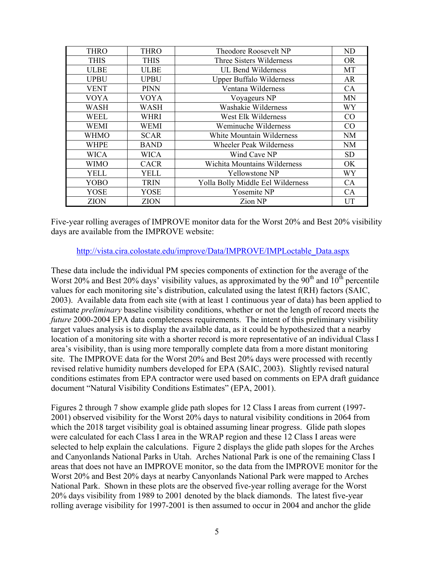| <b>THRO</b> | <b>THRO</b> | Theodore Roosevelt NP             | ND        |
|-------------|-------------|-----------------------------------|-----------|
| <b>THIS</b> | <b>THIS</b> | Three Sisters Wilderness          | <b>OR</b> |
| <b>ULBE</b> | <b>ULBE</b> | <b>UL Bend Wilderness</b>         | MT        |
| <b>UPBU</b> | UPBU        | <b>Upper Buffalo Wilderness</b>   | AR        |
| <b>VENT</b> | <b>PINN</b> | Ventana Wilderness                | CA        |
| <b>VOYA</b> | <b>VOYA</b> | Voyageurs NP                      | <b>MN</b> |
| <b>WASH</b> | WASH        | Washakie Wilderness               | WY        |
| WEEL        | WHRI        | West Elk Wilderness               | CO        |
| <b>WEMI</b> | <b>WEMI</b> | Weminuche Wilderness              | CO        |
| <b>WHMO</b> | <b>SCAR</b> | White Mountain Wilderness         | NM        |
| <b>WHPE</b> | <b>BAND</b> | <b>Wheeler Peak Wilderness</b>    | <b>NM</b> |
| <b>WICA</b> | <b>WICA</b> | Wind Cave NP                      | <b>SD</b> |
| WIMO        | <b>CACR</b> | Wichita Mountains Wilderness      | OK.       |
| <b>YELL</b> | <b>YELL</b> | <b>Yellowstone NP</b>             | WY        |
| <b>YOBO</b> | <b>TRIN</b> | Yolla Bolly Middle Eel Wilderness | CA        |
| <b>YOSE</b> | YOSE        | Yosemite NP                       | CA        |
| <b>ZION</b> | <b>ZION</b> | Zion NP                           | UT        |

Five-year rolling averages of IMPROVE monitor data for the Worst 20% and Best 20% visibility days are available from the IMPROVE website:

#### [http://vista.cira.colostate.edu/improve/Data/IMPROVE/IMPLoctable\\_Data.aspx](http://vista.cira.colostate.edu/improve/Data/IMPROVE/IMPLoctable_Data.aspx)

These data include the individual PM species components of extinction for the average of the Worst 20% and Best 20% days' visibility values, as approximated by the  $90<sup>th</sup>$  and  $10<sup>th</sup>$  percentile values for each monitoring site's distribution, calculated using the latest f(RH) factors (SAIC, 2003). Available data from each site (with at least 1 continuous year of data) has been applied to estimate *preliminary* baseline visibility conditions, whether or not the length of record meets the *future* 2000-2004 EPA data completeness requirements. The intent of this preliminary visibility target values analysis is to display the available data, as it could be hypothesized that a nearby location of a monitoring site with a shorter record is more representative of an individual Class I area's visibility, than is using more temporally complete data from a more distant monitoring site. The IMPROVE data for the Worst 20% and Best 20% days were processed with recently revised relative humidity numbers developed for EPA (SAIC, 2003). Slightly revised natural conditions estimates from EPA contractor were used based on comments on EPA draft guidance document "Natural Visibility Conditions Estimates" (EPA, 2001).

Figures 2 through 7 show example glide path slopes for 12 Class I areas from current (1997- 2001) observed visibility for the Worst 20% days to natural visibility conditions in 2064 from which the 2018 target visibility goal is obtained assuming linear progress. Glide path slopes were calculated for each Class I area in the WRAP region and these 12 Class I areas were selected to help explain the calculations. Figure 2 displays the glide path slopes for the Arches and Canyonlands National Parks in Utah. Arches National Park is one of the remaining Class I areas that does not have an IMPROVE monitor, so the data from the IMPROVE monitor for the Worst 20% and Best 20% days at nearby Canyonlands National Park were mapped to Arches National Park. Shown in these plots are the observed five-year rolling average for the Worst 20% days visibility from 1989 to 2001 denoted by the black diamonds. The latest five-year rolling average visibility for 1997-2001 is then assumed to occur in 2004 and anchor the glide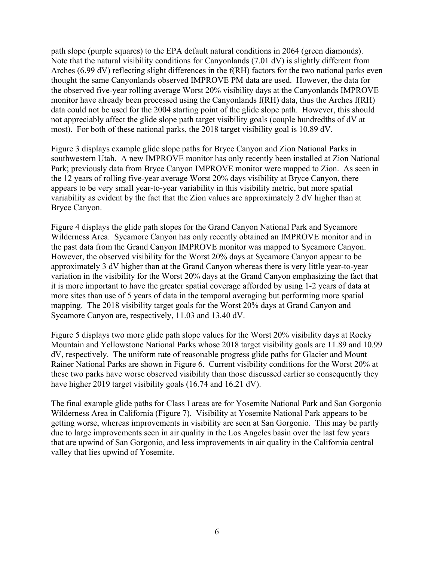path slope (purple squares) to the EPA default natural conditions in 2064 (green diamonds). Note that the natural visibility conditions for Canyonlands (7.01 dV) is slightly different from Arches (6.99 dV) reflecting slight differences in the f(RH) factors for the two national parks even thought the same Canyonlands observed IMPROVE PM data are used. However, the data for the observed five-year rolling average Worst 20% visibility days at the Canyonlands IMPROVE monitor have already been processed using the Canyonlands f(RH) data, thus the Arches f(RH) data could not be used for the 2004 starting point of the glide slope path. However, this should not appreciably affect the glide slope path target visibility goals (couple hundredths of dV at most). For both of these national parks, the 2018 target visibility goal is 10.89 dV.

Figure 3 displays example glide slope paths for Bryce Canyon and Zion National Parks in southwestern Utah. A new IMPROVE monitor has only recently been installed at Zion National Park; previously data from Bryce Canyon IMPROVE monitor were mapped to Zion. As seen in the 12 years of rolling five-year average Worst 20% days visibility at Bryce Canyon, there appears to be very small year-to-year variability in this visibility metric, but more spatial variability as evident by the fact that the Zion values are approximately 2 dV higher than at Bryce Canyon.

Figure 4 displays the glide path slopes for the Grand Canyon National Park and Sycamore Wilderness Area. Sycamore Canyon has only recently obtained an IMPROVE monitor and in the past data from the Grand Canyon IMPROVE monitor was mapped to Sycamore Canyon. However, the observed visibility for the Worst 20% days at Sycamore Canyon appear to be approximately 3 dV higher than at the Grand Canyon whereas there is very little year-to-year variation in the visibility for the Worst 20% days at the Grand Canyon emphasizing the fact that it is more important to have the greater spatial coverage afforded by using 1-2 years of data at more sites than use of 5 years of data in the temporal averaging but performing more spatial mapping. The 2018 visibility target goals for the Worst 20% days at Grand Canyon and Sycamore Canyon are, respectively, 11.03 and 13.40 dV.

Figure 5 displays two more glide path slope values for the Worst 20% visibility days at Rocky Mountain and Yellowstone National Parks whose 2018 target visibility goals are 11.89 and 10.99 dV, respectively. The uniform rate of reasonable progress glide paths for Glacier and Mount Rainer National Parks are shown in Figure 6. Current visibility conditions for the Worst 20% at these two parks have worse observed visibility than those discussed earlier so consequently they have higher 2019 target visibility goals (16.74 and 16.21 dV).

The final example glide paths for Class I areas are for Yosemite National Park and San Gorgonio Wilderness Area in California (Figure 7). Visibility at Yosemite National Park appears to be getting worse, whereas improvements in visibility are seen at San Gorgonio. This may be partly due to large improvements seen in air quality in the Los Angeles basin over the last few years that are upwind of San Gorgonio, and less improvements in air quality in the California central valley that lies upwind of Yosemite.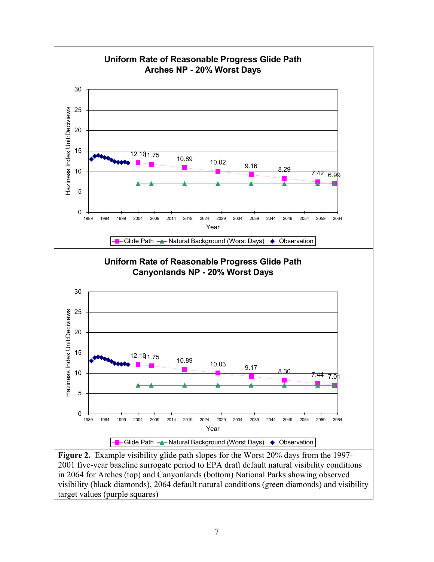

**Figure 2.** Example visibility glide path slopes for the Worst 20% days from the 1997- 2001 five-year baseline surrogate period to EPA draft default natural visibility conditions in 2064 for Arches (top) and Canyonlands (bottom) National Parks showing observed visibility (black diamonds), 2064 default natural conditions (green diamonds) and visibility target values (purple squares)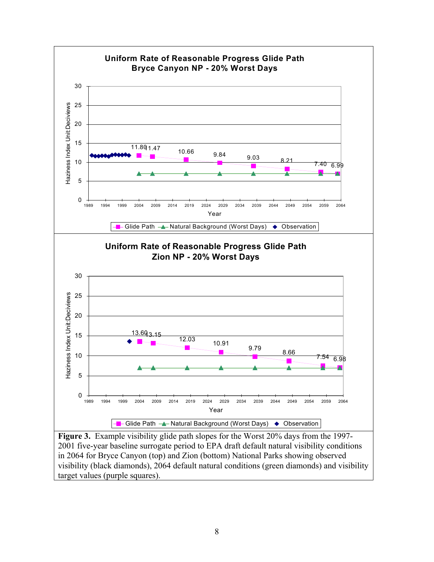

**Figure 3.** Example visibility glide path slopes for the Worst 20% days from the 1997- 2001 five-year baseline surrogate period to EPA draft default natural visibility conditions in 2064 for Bryce Canyon (top) and Zion (bottom) National Parks showing observed visibility (black diamonds), 2064 default natural conditions (green diamonds) and visibility target values (purple squares).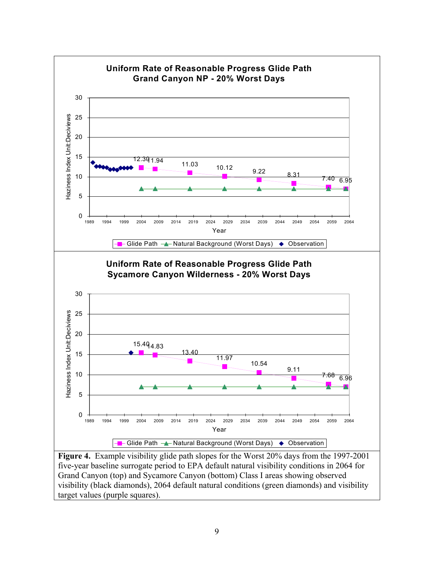

five-year baseline surrogate period to EPA default natural visibility conditions in 2064 for Grand Canyon (top) and Sycamore Canyon (bottom) Class I areas showing observed visibility (black diamonds), 2064 default natural conditions (green diamonds) and visibility target values (purple squares).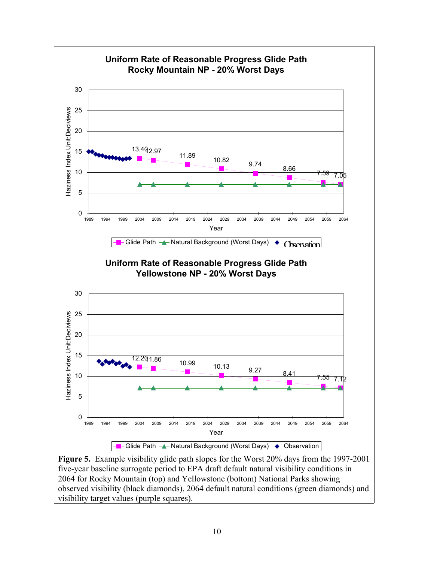

**Figure 5.** Example visibility glide path slopes for the Worst 20% days from the 1997-2001 five-year baseline surrogate period to EPA draft default natural visibility conditions in 2064 for Rocky Mountain (top) and Yellowstone (bottom) National Parks showing observed visibility (black diamonds), 2064 default natural conditions (green diamonds) and visibility target values (purple squares).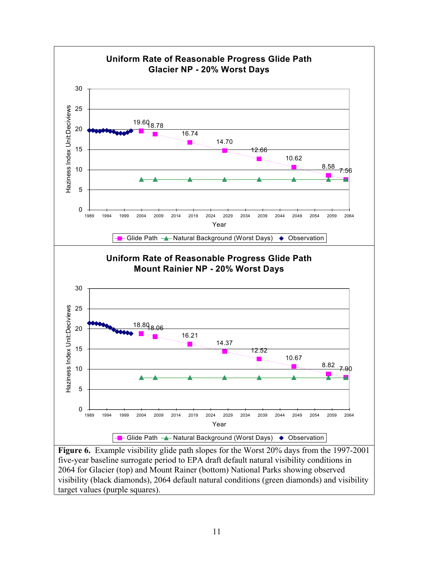

**Figure 6.** Example visibility glide path slopes for the Worst 20% days from the 1997-2001 five-year baseline surrogate period to EPA draft default natural visibility conditions in 2064 for Glacier (top) and Mount Rainer (bottom) National Parks showing observed visibility (black diamonds), 2064 default natural conditions (green diamonds) and visibility target values (purple squares).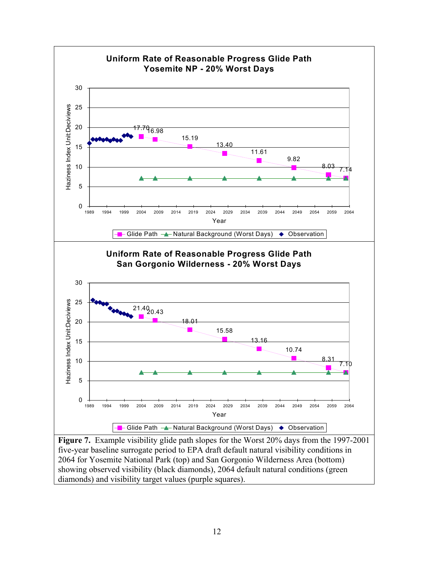

five-year baseline surrogate period to EPA draft default natural visibility conditions in 2064 for Yosemite National Park (top) and San Gorgonio Wilderness Area (bottom) showing observed visibility (black diamonds), 2064 default natural conditions (green diamonds) and visibility target values (purple squares).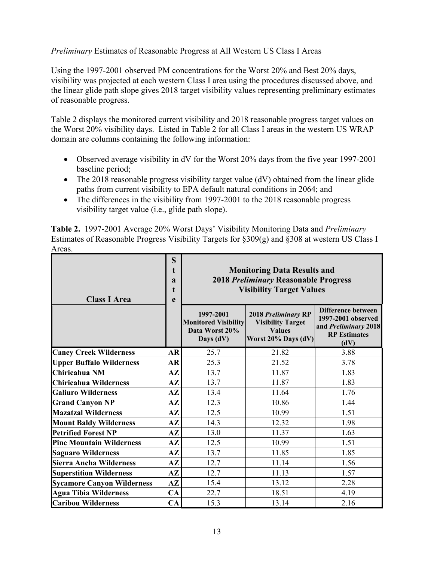# *Preliminary* Estimates of Reasonable Progress at All Western US Class I Areas

Using the 1997-2001 observed PM concentrations for the Worst 20% and Best 20% days, visibility was projected at each western Class I area using the procedures discussed above, and the linear glide path slope gives 2018 target visibility values representing preliminary estimates of reasonable progress.

Table 2 displays the monitored current visibility and 2018 reasonable progress target values on the Worst 20% visibility days. Listed in Table 2 for all Class I areas in the western US WRAP domain are columns containing the following information:

- Observed average visibility in dV for the Worst 20% days from the five year 1997-2001 baseline period;
- The 2018 reasonable progress visibility target value (dV) obtained from the linear glide paths from current visibility to EPA default natural conditions in 2064; and
- The differences in the visibility from 1997-2001 to the 2018 reasonable progress visibility target value (i.e., glide path slope).

**Table 2.** 1997-2001 Average 20% Worst Days' Visibility Monitoring Data and *Preliminary* Estimates of Reasonable Progress Visibility Targets for §309(g) and §308 at western US Class I Areas.

| <b>Class I Area</b>               | S<br>$\mathbf t$<br>$\mathbf{a}$<br>t<br>e | <b>Monitoring Data Results and</b><br><b>2018 Preliminary Reasonable Progress</b><br><b>Visibility Target Values</b> |                                                                                         |                                                                                                 |  |  |
|-----------------------------------|--------------------------------------------|----------------------------------------------------------------------------------------------------------------------|-----------------------------------------------------------------------------------------|-------------------------------------------------------------------------------------------------|--|--|
|                                   |                                            | 1997-2001<br><b>Monitored Visibility</b><br>Data Worst 20%<br>Days (dV)                                              | 2018 Preliminary RP<br><b>Visibility Target</b><br><b>Values</b><br>Worst 20% Days (dV) | Difference between<br>1997-2001 observed<br>and Preliminary 2018<br><b>RP</b> Estimates<br>(dV) |  |  |
| <b>Caney Creek Wilderness</b>     | AR                                         | 25.7                                                                                                                 | 21.82                                                                                   | 3.88                                                                                            |  |  |
| <b>Upper Buffalo Wilderness</b>   | AR                                         | 25.3                                                                                                                 | 21.52                                                                                   | 3.78                                                                                            |  |  |
| Chiricahua NM                     | $A\mathbf{Z}$                              | 13.7                                                                                                                 | 11.87                                                                                   | 1.83                                                                                            |  |  |
| Chiricahua Wilderness             | $A\mathbf{Z}$                              | 13.7                                                                                                                 | 11.87                                                                                   | 1.83                                                                                            |  |  |
| <b>Galiuro Wilderness</b>         | AZ                                         | 13.4                                                                                                                 | 11.64                                                                                   | 1.76                                                                                            |  |  |
| <b>Grand Canyon NP</b>            | $\mathbf{A} \mathbf{Z}$                    | 12.3                                                                                                                 | 10.86                                                                                   | 1.44                                                                                            |  |  |
| <b>Mazatzal Wilderness</b>        | $A\mathbf{Z}$                              | 12.5                                                                                                                 | 10.99                                                                                   | 1.51                                                                                            |  |  |
| <b>Mount Baldy Wilderness</b>     | $A\mathbf{Z}$                              | 14.3                                                                                                                 | 12.32                                                                                   | 1.98                                                                                            |  |  |
| <b>Petrified Forest NP</b>        | $A\mathbf{Z}$                              | 13.0                                                                                                                 | 11.37                                                                                   | 1.63                                                                                            |  |  |
| <b>Pine Mountain Wilderness</b>   | $A\mathbf{Z}$                              | 12.5                                                                                                                 | 10.99                                                                                   | 1.51                                                                                            |  |  |
| <b>Saguaro Wilderness</b>         | $A\mathbf{Z}$                              | 13.7                                                                                                                 | 11.85                                                                                   | 1.85                                                                                            |  |  |
| <b>Sierra Ancha Wilderness</b>    | $A\mathbf{Z}$                              | 12.7                                                                                                                 | 11.14                                                                                   | 1.56                                                                                            |  |  |
| <b>Superstition Wilderness</b>    | $A\mathbf{Z}$                              | 12.7                                                                                                                 | 11.13                                                                                   | 1.57                                                                                            |  |  |
| <b>Sycamore Canyon Wilderness</b> | $A\mathbf{Z}$                              | 15.4                                                                                                                 | 13.12                                                                                   | 2.28                                                                                            |  |  |
| <b>Agua Tibia Wilderness</b>      | CA                                         | 22.7                                                                                                                 | 18.51                                                                                   | 4.19                                                                                            |  |  |
| <b>Caribou Wilderness</b>         | CA                                         | 15.3                                                                                                                 | 13.14                                                                                   | 2.16                                                                                            |  |  |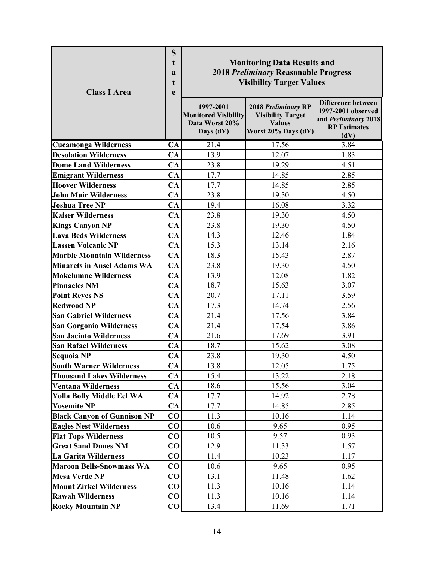| <b>Class I Area</b>                | S<br>t<br>$\mathbf{a}$<br>t<br>$\mathbf e$ | <b>Monitoring Data Results and</b><br><b>2018 Preliminary Reasonable Progress</b><br><b>Visibility Target Values</b> |                                                                                         |                                                                                                        |  |  |
|------------------------------------|--------------------------------------------|----------------------------------------------------------------------------------------------------------------------|-----------------------------------------------------------------------------------------|--------------------------------------------------------------------------------------------------------|--|--|
|                                    |                                            | 1997-2001<br><b>Monitored Visibility</b><br>Data Worst 20%<br>Days (dV)                                              | 2018 Preliminary RP<br><b>Visibility Target</b><br><b>Values</b><br>Worst 20% Days (dV) | <b>Difference between</b><br>1997-2001 observed<br>and Preliminary 2018<br><b>RP</b> Estimates<br>(dV) |  |  |
| <b>Cucamonga Wilderness</b>        | CA                                         | 21.4                                                                                                                 | 17.56                                                                                   | 3.84                                                                                                   |  |  |
| <b>Desolation Wilderness</b>       | CA                                         | 13.9                                                                                                                 | 12.07                                                                                   | 1.83                                                                                                   |  |  |
| <b>Dome Land Wilderness</b>        | CA                                         | 23.8                                                                                                                 | 19.29                                                                                   | 4.51                                                                                                   |  |  |
| <b>Emigrant Wilderness</b>         | CA                                         | 17.7                                                                                                                 | 14.85                                                                                   | 2.85                                                                                                   |  |  |
| <b>Hoover Wilderness</b>           | CA                                         | 17.7                                                                                                                 | 14.85                                                                                   | 2.85                                                                                                   |  |  |
| <b>John Muir Wilderness</b>        | <b>CA</b>                                  | 23.8                                                                                                                 | 19.30                                                                                   | 4.50                                                                                                   |  |  |
| <b>Joshua Tree NP</b>              | CA                                         | 19.4                                                                                                                 | 16.08                                                                                   | 3.32                                                                                                   |  |  |
| <b>Kaiser Wilderness</b>           | CA                                         | 23.8                                                                                                                 | 19.30                                                                                   | 4.50                                                                                                   |  |  |
| <b>Kings Canyon NP</b>             | CA                                         | 23.8                                                                                                                 | 19.30                                                                                   | 4.50                                                                                                   |  |  |
| <b>Lava Beds Wilderness</b>        | CA                                         | 14.3                                                                                                                 | 12.46                                                                                   | 1.84                                                                                                   |  |  |
| <b>Lassen Volcanic NP</b>          | CA                                         | 15.3                                                                                                                 | 13.14                                                                                   | 2.16                                                                                                   |  |  |
| <b>Marble Mountain Wilderness</b>  | CA                                         | 18.3                                                                                                                 | 15.43                                                                                   | 2.87                                                                                                   |  |  |
| <b>Minarets in Ansel Adams WA</b>  | CA                                         | 23.8                                                                                                                 | 19.30                                                                                   | 4.50                                                                                                   |  |  |
| <b>Mokelumne Wilderness</b>        | CA                                         | 13.9                                                                                                                 | 12.08                                                                                   | 1.82                                                                                                   |  |  |
| <b>Pinnacles NM</b>                | CA                                         | 18.7                                                                                                                 | 15.63                                                                                   | 3.07                                                                                                   |  |  |
| <b>Point Reyes NS</b>              | CA                                         | 20.7                                                                                                                 | 17.11                                                                                   | 3.59                                                                                                   |  |  |
| <b>Redwood NP</b>                  | CA                                         | 17.3                                                                                                                 | 14.74                                                                                   | 2.56                                                                                                   |  |  |
| <b>San Gabriel Wilderness</b>      | CA                                         | 21.4                                                                                                                 | 17.56                                                                                   | 3.84                                                                                                   |  |  |
| <b>San Gorgonio Wilderness</b>     | CA                                         | 21.4                                                                                                                 | 17.54                                                                                   | 3.86                                                                                                   |  |  |
| <b>San Jacinto Wilderness</b>      | CA                                         | 21.6                                                                                                                 | 17.69                                                                                   | 3.91                                                                                                   |  |  |
| <b>San Rafael Wilderness</b>       | CA                                         | 18.7                                                                                                                 | 15.62                                                                                   | 3.08                                                                                                   |  |  |
| <b>Sequoia NP</b>                  | CA                                         | 23.8                                                                                                                 | 19.30                                                                                   | 4.50                                                                                                   |  |  |
| <b>South Warner Wilderness</b>     | CA                                         | 13.8                                                                                                                 | 12.05                                                                                   | 1.75                                                                                                   |  |  |
| <b>Thousand Lakes Wilderness</b>   | CA                                         | 15.4                                                                                                                 | 13.22                                                                                   | 2.18                                                                                                   |  |  |
| <b>Ventana Wilderness</b>          | CA                                         | 18.6                                                                                                                 | 15.56                                                                                   | 3.04                                                                                                   |  |  |
| <b>Yolla Bolly Middle Eel WA</b>   | CA                                         | 17.7                                                                                                                 | 14.92                                                                                   | 2.78                                                                                                   |  |  |
| <b>Yosemite NP</b>                 | CA                                         | 17.7                                                                                                                 | 14.85                                                                                   | 2.85                                                                                                   |  |  |
| <b>Black Canyon of Gunnison NP</b> | $\bf CO$                                   | 11.3                                                                                                                 | 10.16                                                                                   | 1.14                                                                                                   |  |  |
| <b>Eagles Nest Wilderness</b>      | $\bf CO$                                   | 10.6                                                                                                                 | 9.65                                                                                    | 0.95                                                                                                   |  |  |
| <b>Flat Tops Wilderness</b>        | CO                                         | 10.5                                                                                                                 | 9.57                                                                                    | 0.93                                                                                                   |  |  |
| <b>Great Sand Dunes NM</b>         | CO                                         | 12.9                                                                                                                 | 11.33                                                                                   | 1.57                                                                                                   |  |  |
| La Garita Wilderness               | $\bf CO$                                   | 11.4                                                                                                                 | 10.23                                                                                   | 1.17                                                                                                   |  |  |
| <b>Maroon Bells-Snowmass WA</b>    | CO                                         | 10.6                                                                                                                 | 9.65                                                                                    | 0.95                                                                                                   |  |  |
| <b>Mesa Verde NP</b>               | CO                                         | 13.1                                                                                                                 | 11.48                                                                                   | 1.62                                                                                                   |  |  |
| <b>Mount Zirkel Wilderness</b>     | $\bf CO$                                   | 11.3                                                                                                                 | 10.16                                                                                   | 1.14                                                                                                   |  |  |
| <b>Rawah Wilderness</b>            | CO                                         | 11.3                                                                                                                 | 10.16                                                                                   | 1.14                                                                                                   |  |  |
| <b>Rocky Mountain NP</b>           | $\bf CO$                                   | 13.4                                                                                                                 | 11.69                                                                                   | 1.71                                                                                                   |  |  |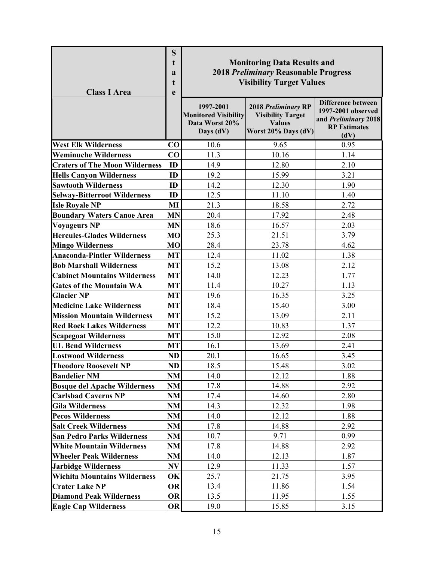| <b>Class I Area</b>                   | S<br>t<br>a<br>t<br>e | <b>Monitoring Data Results and</b><br><b>2018 Preliminary Reasonable Progress</b><br><b>Visibility Target Values</b> |                                                                                         |                                                                                                        |  |  |
|---------------------------------------|-----------------------|----------------------------------------------------------------------------------------------------------------------|-----------------------------------------------------------------------------------------|--------------------------------------------------------------------------------------------------------|--|--|
|                                       |                       | 1997-2001<br><b>Monitored Visibility</b><br>Data Worst 20%<br>Days (dV)                                              | 2018 Preliminary RP<br><b>Visibility Target</b><br><b>Values</b><br>Worst 20% Days (dV) | <b>Difference between</b><br>1997-2001 observed<br>and Preliminary 2018<br><b>RP</b> Estimates<br>(dV) |  |  |
| <b>West Elk Wilderness</b>            | CO                    | 10.6                                                                                                                 | 9.65                                                                                    | 0.95                                                                                                   |  |  |
| <b>Weminuche Wilderness</b>           | CO                    | 11.3                                                                                                                 | 10.16                                                                                   | 1.14                                                                                                   |  |  |
| <b>Craters of The Moon Wilderness</b> | ID                    | 14.9                                                                                                                 | 12.80                                                                                   | 2.10                                                                                                   |  |  |
| <b>Hells Canyon Wilderness</b>        | ID                    | 19.2                                                                                                                 | 15.99                                                                                   | 3.21                                                                                                   |  |  |
| <b>Sawtooth Wilderness</b>            | ID                    | 14.2                                                                                                                 | 12.30                                                                                   | 1.90                                                                                                   |  |  |
| <b>Selway-Bitterroot Wilderness</b>   | ID                    | 12.5                                                                                                                 | 11.10                                                                                   | 1.40                                                                                                   |  |  |
| <b>Isle Royale NP</b>                 | MI                    | 21.3                                                                                                                 | 18.58                                                                                   | 2.72                                                                                                   |  |  |
| <b>Boundary Waters Canoe Area</b>     | <b>MN</b>             | 20.4                                                                                                                 | 17.92                                                                                   | 2.48                                                                                                   |  |  |
| <b>Voyageurs NP</b>                   | <b>MN</b>             | 18.6                                                                                                                 | 16.57                                                                                   | 2.03                                                                                                   |  |  |
| <b>Hercules-Glades Wilderness</b>     | <b>MO</b>             | 25.3                                                                                                                 | 21.51                                                                                   | 3.79                                                                                                   |  |  |
| <b>Mingo Wilderness</b>               | <b>MO</b>             | 28.4                                                                                                                 | 23.78                                                                                   | 4.62                                                                                                   |  |  |
| <b>Anaconda-Pintler Wilderness</b>    | <b>MT</b>             | 12.4                                                                                                                 | 11.02                                                                                   | 1.38                                                                                                   |  |  |
| <b>Bob Marshall Wilderness</b>        | <b>MT</b>             | 15.2                                                                                                                 | 13.08                                                                                   | 2.12                                                                                                   |  |  |
| <b>Cabinet Mountains Wilderness</b>   | <b>MT</b>             | 14.0                                                                                                                 | 12.23                                                                                   | 1.77                                                                                                   |  |  |
| <b>Gates of the Mountain WA</b>       | <b>MT</b>             | 11.4                                                                                                                 | 10.27                                                                                   | 1.13                                                                                                   |  |  |
| <b>Glacier NP</b>                     | <b>MT</b>             | 19.6                                                                                                                 | 16.35                                                                                   | 3.25                                                                                                   |  |  |
| <b>Medicine Lake Wilderness</b>       | <b>MT</b>             | 18.4                                                                                                                 | 15.40                                                                                   | 3.00                                                                                                   |  |  |
| <b>Mission Mountain Wilderness</b>    | <b>MT</b>             | 15.2                                                                                                                 | 13.09                                                                                   | 2.11                                                                                                   |  |  |
| <b>Red Rock Lakes Wilderness</b>      | <b>MT</b>             | 12.2                                                                                                                 | 10.83                                                                                   | 1.37                                                                                                   |  |  |
| <b>Scapegoat Wilderness</b>           | <b>MT</b>             | 15.0                                                                                                                 | 12.92                                                                                   | 2.08                                                                                                   |  |  |
| <b>UL Bend Wilderness</b>             | <b>MT</b>             | 16.1                                                                                                                 | 13.69                                                                                   | 2.41                                                                                                   |  |  |
| <b>Lostwood Wilderness</b>            | <b>ND</b>             | 20.1                                                                                                                 | 16.65                                                                                   | 3.45                                                                                                   |  |  |
| Theodore Roosevelt NP                 | ND                    | 18.5                                                                                                                 | 15.48                                                                                   | 3.02                                                                                                   |  |  |
| <b>Bandelier NM</b>                   | <b>NM</b>             | 14.0                                                                                                                 | 12.12                                                                                   | 1.88                                                                                                   |  |  |
| <b>Bosque del Apache Wilderness</b>   | NM                    | 17.8                                                                                                                 | 14.88                                                                                   | 2.92                                                                                                   |  |  |
| <b>Carlsbad Caverns NP</b>            | NM                    | 17.4                                                                                                                 | 14.60                                                                                   | 2.80                                                                                                   |  |  |
| <b>Gila Wilderness</b>                | NM                    | 14.3                                                                                                                 | 12.32                                                                                   | 1.98                                                                                                   |  |  |
| <b>Pecos Wilderness</b>               | NM                    | 14.0                                                                                                                 | 12.12                                                                                   | 1.88                                                                                                   |  |  |
| <b>Salt Creek Wilderness</b>          | <b>NM</b>             | 17.8                                                                                                                 | 14.88                                                                                   | 2.92                                                                                                   |  |  |
| <b>San Pedro Parks Wilderness</b>     | NM                    | 10.7                                                                                                                 | 9.71                                                                                    | 0.99                                                                                                   |  |  |
| <b>White Mountain Wilderness</b>      | NM                    | 17.8                                                                                                                 | 14.88                                                                                   | 2.92                                                                                                   |  |  |
| <b>Wheeler Peak Wilderness</b>        | NM                    | 14.0                                                                                                                 | 12.13                                                                                   | 1.87                                                                                                   |  |  |
| <b>Jarbidge Wilderness</b>            | N V                   | 12.9                                                                                                                 | 11.33                                                                                   | 1.57                                                                                                   |  |  |
| <b>Wichita Mountains Wilderness</b>   | OK                    | 25.7                                                                                                                 | 21.75                                                                                   | 3.95                                                                                                   |  |  |
| <b>Crater Lake NP</b>                 | <b>OR</b>             | 13.4                                                                                                                 | 11.86                                                                                   | 1.54                                                                                                   |  |  |
| <b>Diamond Peak Wilderness</b>        | <b>OR</b>             | 13.5                                                                                                                 | 11.95                                                                                   | 1.55                                                                                                   |  |  |
| <b>Eagle Cap Wilderness</b>           | <b>OR</b>             | 19.0                                                                                                                 | 15.85                                                                                   | 3.15                                                                                                   |  |  |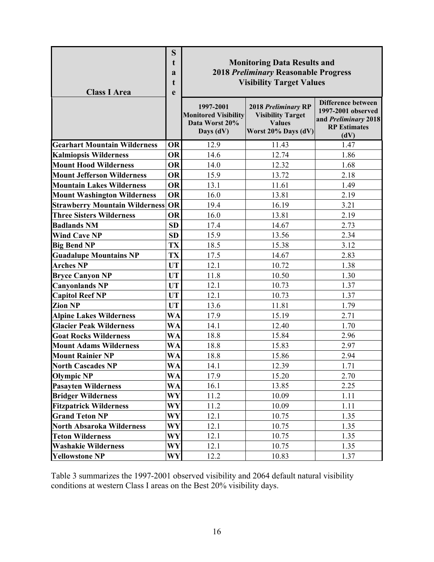| <b>Class I Area</b>                   | S<br>t<br>a<br>t<br>e | <b>Monitoring Data Results and</b><br><b>2018 Preliminary Reasonable Progress</b><br><b>Visibility Target Values</b><br>Difference between |                                                                                         |                                                                           |  |  |
|---------------------------------------|-----------------------|--------------------------------------------------------------------------------------------------------------------------------------------|-----------------------------------------------------------------------------------------|---------------------------------------------------------------------------|--|--|
|                                       |                       | 1997-2001<br><b>Monitored Visibility</b><br>Data Worst 20%<br>Days (dV)                                                                    | 2018 Preliminary RP<br><b>Visibility Target</b><br><b>Values</b><br>Worst 20% Days (dV) | 1997-2001 observed<br>and Preliminary 2018<br><b>RP</b> Estimates<br>(dV) |  |  |
| <b>Gearhart Mountain Wilderness</b>   | <b>OR</b>             | 12.9                                                                                                                                       | 11.43                                                                                   | 1.47                                                                      |  |  |
| <b>Kalmiopsis Wilderness</b>          | <b>OR</b>             | 14.6                                                                                                                                       | 12.74                                                                                   | 1.86                                                                      |  |  |
| <b>Mount Hood Wilderness</b>          | <b>OR</b>             | 14.0                                                                                                                                       | 12.32                                                                                   | 1.68                                                                      |  |  |
| <b>Mount Jefferson Wilderness</b>     | <b>OR</b>             | 15.9                                                                                                                                       | 13.72                                                                                   | 2.18                                                                      |  |  |
| <b>Mountain Lakes Wilderness</b>      | <b>OR</b>             | 13.1                                                                                                                                       | 11.61                                                                                   | 1.49                                                                      |  |  |
| <b>Mount Washington Wilderness</b>    | <b>OR</b>             | 16.0                                                                                                                                       | 13.81                                                                                   | 2.19                                                                      |  |  |
| <b>Strawberry Mountain Wilderness</b> | <b>OR</b>             | 19.4                                                                                                                                       | 16.19                                                                                   | 3.21                                                                      |  |  |
| <b>Three Sisters Wilderness</b>       | <b>OR</b>             | 16.0                                                                                                                                       | 13.81                                                                                   | 2.19                                                                      |  |  |
| <b>Badlands NM</b>                    | <b>SD</b>             | 17.4                                                                                                                                       | 14.67                                                                                   | 2.73                                                                      |  |  |
| <b>Wind Cave NP</b>                   | <b>SD</b>             | 15.9                                                                                                                                       | 13.56                                                                                   | 2.34                                                                      |  |  |
| <b>Big Bend NP</b>                    | <b>TX</b>             | 18.5                                                                                                                                       | 15.38                                                                                   | 3.12                                                                      |  |  |
| <b>Guadalupe Mountains NP</b>         | TX                    | 17.5                                                                                                                                       | 14.67                                                                                   | 2.83                                                                      |  |  |
| <b>Arches NP</b>                      | <b>UT</b>             | 12.1                                                                                                                                       | 10.72                                                                                   | 1.38                                                                      |  |  |
| <b>Bryce Canyon NP</b>                | UT                    | 11.8                                                                                                                                       | 10.50                                                                                   | 1.30                                                                      |  |  |
| <b>Canyonlands NP</b>                 | <b>UT</b>             | 12.1                                                                                                                                       | 10.73                                                                                   | 1.37                                                                      |  |  |
| <b>Capitol Reef NP</b>                | <b>UT</b>             | 12.1                                                                                                                                       | 10.73                                                                                   | 1.37                                                                      |  |  |
| <b>Zion NP</b>                        | <b>UT</b>             | 13.6                                                                                                                                       | 11.81                                                                                   | 1.79                                                                      |  |  |
| <b>Alpine Lakes Wilderness</b>        | <b>WA</b>             | 17.9                                                                                                                                       | 15.19                                                                                   | 2.71                                                                      |  |  |
| <b>Glacier Peak Wilderness</b>        | <b>WA</b>             | 14.1                                                                                                                                       | 12.40                                                                                   | 1.70                                                                      |  |  |
| <b>Goat Rocks Wilderness</b>          | <b>WA</b>             | 18.8                                                                                                                                       | 15.84                                                                                   | 2.96                                                                      |  |  |
| <b>Mount Adams Wilderness</b>         | <b>WA</b>             | 18.8                                                                                                                                       | 15.83                                                                                   | 2.97                                                                      |  |  |
| <b>Mount Rainier NP</b>               | WA                    | 18.8                                                                                                                                       | 15.86                                                                                   | 2.94                                                                      |  |  |
| <b>North Cascades NP</b>              | WA                    | 14.1                                                                                                                                       | 12.39                                                                                   | 1.71                                                                      |  |  |
| <b>Olympic NP</b>                     | <b>WA</b>             | 17.9                                                                                                                                       | 15.20                                                                                   | 2.70                                                                      |  |  |
| <b>Pasayten Wilderness</b>            | <b>WA</b>             | 16.1                                                                                                                                       | 13.85                                                                                   | 2.25                                                                      |  |  |
| <b>Bridger Wilderness</b>             | WY                    | 11.2                                                                                                                                       | 10.09                                                                                   | 1.11                                                                      |  |  |
| <b>Fitzpatrick Wilderness</b>         | WY                    | 11.2                                                                                                                                       | 10.09                                                                                   | 1.11                                                                      |  |  |
| <b>Grand Teton NP</b>                 | <b>WY</b>             | 12.1                                                                                                                                       | 10.75                                                                                   | 1.35                                                                      |  |  |
| North Absaroka Wilderness             | <b>WY</b>             | 12.1                                                                                                                                       | 10.75                                                                                   | 1.35                                                                      |  |  |
| <b>Teton Wilderness</b>               | WY                    | 12.1                                                                                                                                       | 10.75                                                                                   | 1.35                                                                      |  |  |
| <b>Washakie Wilderness</b>            | WY                    | 12.1                                                                                                                                       | 10.75                                                                                   | 1.35                                                                      |  |  |
| <b>Yellowstone NP</b>                 | <b>WY</b>             | 12.2                                                                                                                                       | 10.83                                                                                   | 1.37                                                                      |  |  |

Table 3 summarizes the 1997-2001 observed visibility and 2064 default natural visibility conditions at western Class I areas on the Best 20% visibility days.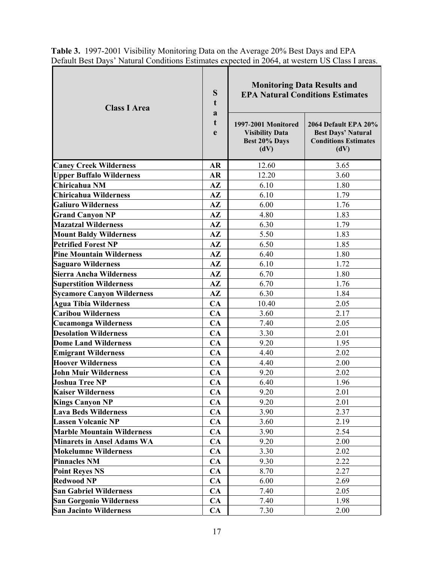| <b>Class I Area</b>               | S<br>t<br>a<br>t<br>e | <b>Monitoring Data Results and</b><br><b>EPA Natural Conditions Estimates</b><br>1997-2001 Monitored<br>2064 Default EPA 20%<br><b>Visibility Data</b><br><b>Best Days' Natural</b> |                                     |
|-----------------------------------|-----------------------|-------------------------------------------------------------------------------------------------------------------------------------------------------------------------------------|-------------------------------------|
|                                   |                       | Best 20% Days<br>(dV)                                                                                                                                                               | <b>Conditions Estimates</b><br>(dV) |
| <b>Caney Creek Wilderness</b>     | <b>AR</b>             | 12.60                                                                                                                                                                               | 3.65                                |
| <b>Upper Buffalo Wilderness</b>   | AR                    | 12.20                                                                                                                                                                               | 3.60                                |
| Chiricahua NM                     | $A\mathbf{Z}$         | 6.10                                                                                                                                                                                | 1.80                                |
| Chiricahua Wilderness             | $A\mathbf{Z}$         | 6.10                                                                                                                                                                                | 1.79                                |
| <b>Galiuro Wilderness</b>         | $A\mathbf{Z}$         | 6.00                                                                                                                                                                                | 1.76                                |
| <b>Grand Canyon NP</b>            | $A\mathbf{Z}$         | 4.80                                                                                                                                                                                | 1.83                                |
| <b>Mazatzal Wilderness</b>        | $A\mathbf{Z}$         | 6.30                                                                                                                                                                                | 1.79                                |
| <b>Mount Baldy Wilderness</b>     | $A\mathbf{Z}$         | 5.50                                                                                                                                                                                | 1.83                                |
| <b>Petrified Forest NP</b>        | $A\mathbf{Z}$         | 6.50                                                                                                                                                                                | 1.85                                |
| <b>Pine Mountain Wilderness</b>   | $A\mathbf{Z}$         | 6.40                                                                                                                                                                                | 1.80                                |
| <b>Saguaro Wilderness</b>         | $A\mathbf{Z}$         | 6.10                                                                                                                                                                                | 1.72                                |
| Sierra Ancha Wilderness           | $A\mathbf{Z}$         | 6.70                                                                                                                                                                                | 1.80                                |
| <b>Superstition Wilderness</b>    | $A\mathbf{Z}$         | 6.70                                                                                                                                                                                | 1.76                                |
| <b>Sycamore Canyon Wilderness</b> | $A\mathbf{Z}$         | 6.30                                                                                                                                                                                | 1.84                                |
| <b>Agua Tibia Wilderness</b>      | CA                    | 10.40                                                                                                                                                                               | 2.05                                |
| <b>Caribou Wilderness</b>         | CA                    | 3.60                                                                                                                                                                                | 2.17                                |
| <b>Cucamonga Wilderness</b>       | CA                    | 7.40                                                                                                                                                                                | 2.05                                |
| <b>Desolation Wilderness</b>      | CA                    | 3.30                                                                                                                                                                                | 2.01                                |
| <b>Dome Land Wilderness</b>       | CA                    | 9.20                                                                                                                                                                                | 1.95                                |
| <b>Emigrant Wilderness</b>        | CA                    | 4.40                                                                                                                                                                                | 2.02                                |
| <b>Hoover Wilderness</b>          | CA                    | 4.40                                                                                                                                                                                | 2.00                                |
| <b>John Muir Wilderness</b>       | CA                    | 9.20                                                                                                                                                                                | 2.02                                |
| <b>Joshua Tree NP</b>             | CA                    | 6.40                                                                                                                                                                                | 1.96                                |
| <b>Kaiser Wilderness</b>          | <b>CA</b>             | 9.20                                                                                                                                                                                | 2.01                                |
| <b>Kings Canyon NP</b>            | CA                    | 9.20                                                                                                                                                                                | 2.01                                |
| <b>Lava Beds Wilderness</b>       | CA                    | 3.90                                                                                                                                                                                | 2.37                                |
| <b>Lassen Volcanic NP</b>         | CA                    | 3.60                                                                                                                                                                                | 2.19                                |
| <b>Marble Mountain Wilderness</b> | CA                    | 3.90                                                                                                                                                                                | 2.54                                |
| <b>Minarets in Ansel Adams WA</b> | CA                    | 9.20                                                                                                                                                                                | 2.00                                |
| <b>Mokelumne Wilderness</b>       | CA                    | 3.30                                                                                                                                                                                | 2.02                                |
| <b>Pinnacles NM</b>               | CA                    | 9.30                                                                                                                                                                                | 2.22                                |
| <b>Point Reyes NS</b>             | CA                    | 8.70                                                                                                                                                                                | 2.27                                |
| <b>Redwood NP</b>                 | CA                    | 6.00                                                                                                                                                                                | 2.69                                |
| <b>San Gabriel Wilderness</b>     | CA                    | 7.40                                                                                                                                                                                | 2.05                                |
| <b>San Gorgonio Wilderness</b>    | CA                    | 7.40                                                                                                                                                                                | 1.98                                |
| <b>San Jacinto Wilderness</b>     | CA                    | 7.30                                                                                                                                                                                | 2.00                                |

**Table 3.** 1997-2001 Visibility Monitoring Data on the Average 20% Best Days and EPA Default Best Days' Natural Conditions Estimates expected in 2064, at western US Class I areas.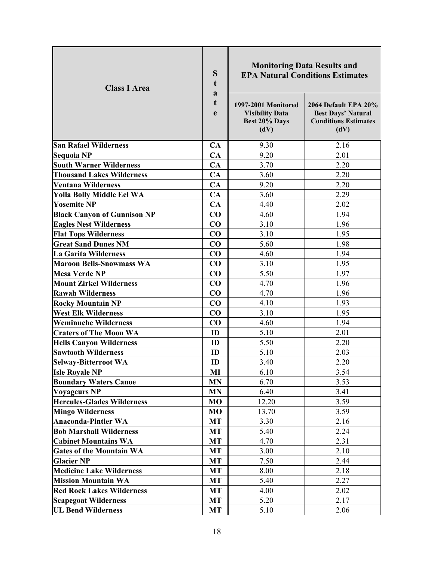| <b>Class I Area</b>                                          | S<br>t<br>a<br>t<br>e | 1997-2001 Monitored<br><b>Visibility Data</b><br>Best 20% Days<br>(dV) | <b>Monitoring Data Results and</b><br><b>EPA Natural Conditions Estimates</b><br>2064 Default EPA 20%<br><b>Best Days' Natural</b><br><b>Conditions Estimates</b><br>(dV) |
|--------------------------------------------------------------|-----------------------|------------------------------------------------------------------------|---------------------------------------------------------------------------------------------------------------------------------------------------------------------------|
| <b>San Rafael Wilderness</b>                                 | CA                    | 9.30                                                                   | 2.16                                                                                                                                                                      |
| <b>Sequoia NP</b>                                            | CA                    | 9.20                                                                   | 2.01                                                                                                                                                                      |
| <b>South Warner Wilderness</b>                               | CA                    | 3.70                                                                   | 2.20                                                                                                                                                                      |
| <b>Thousand Lakes Wilderness</b>                             | CA                    | 3.60                                                                   | 2.20                                                                                                                                                                      |
| <b>Ventana Wilderness</b>                                    | CA                    | 9.20                                                                   | 2.20                                                                                                                                                                      |
| <b>Yolla Bolly Middle Eel WA</b>                             | CA                    | 3.60                                                                   | 2.29                                                                                                                                                                      |
| <b>Yosemite NP</b>                                           | CA                    | 4.40                                                                   | 2.02                                                                                                                                                                      |
| <b>Black Canyon of Gunnison NP</b>                           | CO                    | 4.60                                                                   | 1.94                                                                                                                                                                      |
| <b>Eagles Nest Wilderness</b>                                | CO                    | 3.10                                                                   | 1.96                                                                                                                                                                      |
| <b>Flat Tops Wilderness</b>                                  | CO                    | 3.10                                                                   | 1.95                                                                                                                                                                      |
| <b>Great Sand Dunes NM</b>                                   | CO                    | 5.60                                                                   | 1.98                                                                                                                                                                      |
| <b>La Garita Wilderness</b>                                  | CO                    | 4.60                                                                   | 1.94                                                                                                                                                                      |
| <b>Maroon Bells-Snowmass WA</b>                              | $\bf CO$              | 3.10                                                                   | 1.95                                                                                                                                                                      |
| <b>Mesa Verde NP</b>                                         | $\bf CO$              | 5.50                                                                   | 1.97                                                                                                                                                                      |
| <b>Mount Zirkel Wilderness</b>                               | CO                    | 4.70                                                                   | 1.96                                                                                                                                                                      |
| <b>Rawah Wilderness</b>                                      | CO                    | 4.70                                                                   | 1.96                                                                                                                                                                      |
| <b>Rocky Mountain NP</b>                                     | CO                    | 4.10                                                                   | 1.93                                                                                                                                                                      |
| <b>West Elk Wilderness</b>                                   | CO                    | 3.10                                                                   | 1.95                                                                                                                                                                      |
| <b>Weminuche Wilderness</b>                                  | CO                    | 4.60                                                                   | 1.94                                                                                                                                                                      |
| <b>Craters of The Moon WA</b>                                | ID                    | 5.10                                                                   | 2.01                                                                                                                                                                      |
| <b>Hells Canyon Wilderness</b>                               | ID                    | 5.50                                                                   | 2.20                                                                                                                                                                      |
| <b>Sawtooth Wilderness</b>                                   | ID                    | 5.10                                                                   | 2.03                                                                                                                                                                      |
| <b>Selway-Bitterroot WA</b>                                  | ID                    | 3.40                                                                   | 2.20                                                                                                                                                                      |
| <b>Isle Royale NP</b>                                        | MI                    | 6.10                                                                   | 3.54                                                                                                                                                                      |
| <b>Boundary Waters Canoe</b>                                 | <b>MN</b>             | 6.70                                                                   | 3.53                                                                                                                                                                      |
| <b>Voyageurs NP</b>                                          | <b>MN</b>             | 6.40                                                                   | 3.41                                                                                                                                                                      |
| <b>Hercules-Glades Wilderness</b><br><b>Mingo Wilderness</b> | MO<br>MO              | 12.20<br>13.70                                                         | 3.59<br>3.59                                                                                                                                                              |
| <b>Anaconda-Pintler WA</b>                                   | MT                    | 3.30                                                                   | 2.16                                                                                                                                                                      |
| <b>Bob Marshall Wilderness</b>                               | MT                    | 5.40                                                                   | 2.24                                                                                                                                                                      |
| <b>Cabinet Mountains WA</b>                                  | <b>MT</b>             | 4.70                                                                   | 2.31                                                                                                                                                                      |
| <b>Gates of the Mountain WA</b>                              | <b>MT</b>             | 3.00                                                                   | 2.10                                                                                                                                                                      |
| <b>Glacier NP</b>                                            | MT                    | 7.50                                                                   | 2.44                                                                                                                                                                      |
| <b>Medicine Lake Wilderness</b>                              | <b>MT</b>             | 8.00                                                                   | 2.18                                                                                                                                                                      |
| <b>Mission Mountain WA</b>                                   | <b>MT</b>             | 5.40                                                                   | 2.27                                                                                                                                                                      |
| <b>Red Rock Lakes Wilderness</b>                             | MT                    | 4.00                                                                   | 2.02                                                                                                                                                                      |
| <b>Scapegoat Wilderness</b>                                  | MT                    | 5.20                                                                   | 2.17                                                                                                                                                                      |
| <b>UL Bend Wilderness</b>                                    | <b>MT</b>             | 5.10                                                                   | 2.06                                                                                                                                                                      |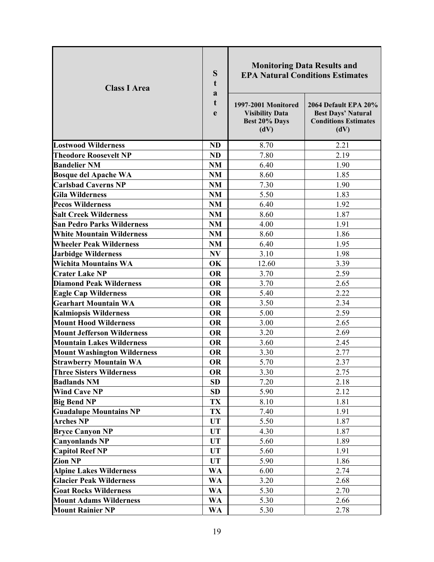| <b>Class I Area</b>                                       | S<br>t<br>a<br>t<br>e  | <b>Monitoring Data Results and</b><br>1997-2001 Monitored<br><b>Visibility Data</b><br>Best 20% Days<br>(dV) | <b>EPA Natural Conditions Estimates</b><br>2064 Default EPA 20%<br><b>Best Days' Natural</b><br><b>Conditions Estimates</b><br>(dV) |
|-----------------------------------------------------------|------------------------|--------------------------------------------------------------------------------------------------------------|-------------------------------------------------------------------------------------------------------------------------------------|
|                                                           |                        |                                                                                                              |                                                                                                                                     |
| <b>Lostwood Wilderness</b>                                | <b>ND</b>              | 8.70                                                                                                         | 2.21                                                                                                                                |
| <b>Theodore Roosevelt NP</b><br><b>Bandelier NM</b>       | <b>ND</b>              | 7.80                                                                                                         | 2.19<br>1.90                                                                                                                        |
|                                                           | <b>NM</b><br><b>NM</b> | 6.40<br>8.60                                                                                                 | 1.85                                                                                                                                |
| <b>Bosque del Apache WA</b><br><b>Carlsbad Caverns NP</b> | <b>NM</b>              | 7.30                                                                                                         | 1.90                                                                                                                                |
| <b>Gila Wilderness</b>                                    | NM                     | 5.50                                                                                                         | 1.83                                                                                                                                |
| <b>Pecos Wilderness</b>                                   | <b>NM</b>              | 6.40                                                                                                         | 1.92                                                                                                                                |
| <b>Salt Creek Wilderness</b>                              | <b>NM</b>              | 8.60                                                                                                         | 1.87                                                                                                                                |
| <b>San Pedro Parks Wilderness</b>                         | NM                     | 4.00                                                                                                         | 1.91                                                                                                                                |
| <b>White Mountain Wilderness</b>                          | <b>NM</b>              | 8.60                                                                                                         | 1.86                                                                                                                                |
| <b>Wheeler Peak Wilderness</b>                            | NM                     | 6.40                                                                                                         | 1.95                                                                                                                                |
| <b>Jarbidge Wilderness</b>                                | NV                     | 3.10                                                                                                         | 1.98                                                                                                                                |
| <b>Wichita Mountains WA</b>                               | OK                     | 12.60                                                                                                        | 3.39                                                                                                                                |
| <b>Crater Lake NP</b>                                     | <b>OR</b>              | 3.70                                                                                                         | 2.59                                                                                                                                |
| <b>Diamond Peak Wilderness</b>                            | <b>OR</b>              | 3.70                                                                                                         | 2.65                                                                                                                                |
| <b>Eagle Cap Wilderness</b>                               | <b>OR</b>              | 5.40                                                                                                         | 2.22                                                                                                                                |
| <b>Gearhart Mountain WA</b>                               | <b>OR</b>              | 3.50                                                                                                         | 2.34                                                                                                                                |
| <b>Kalmiopsis Wilderness</b>                              | <b>OR</b>              | 5.00                                                                                                         | 2.59                                                                                                                                |
| <b>Mount Hood Wilderness</b>                              | <b>OR</b>              | 3.00                                                                                                         | 2.65                                                                                                                                |
| <b>Mount Jefferson Wilderness</b>                         | <b>OR</b>              | 3.20                                                                                                         | 2.69                                                                                                                                |
| <b>Mountain Lakes Wilderness</b>                          | <b>OR</b>              | 3.60                                                                                                         | 2.45                                                                                                                                |
| <b>Mount Washington Wilderness</b>                        | <b>OR</b>              | 3.30                                                                                                         | 2.77                                                                                                                                |
| <b>Strawberry Mountain WA</b>                             | <b>OR</b>              | 5.70                                                                                                         | 2.37                                                                                                                                |
| <b>Three Sisters Wilderness</b>                           | <b>OR</b>              | 3.30                                                                                                         | 2.75                                                                                                                                |
| <b>Badlands NM</b>                                        | <b>SD</b>              | 7.20                                                                                                         | 2.18                                                                                                                                |
| <b>Wind Cave NP</b>                                       | SD                     | 5.90                                                                                                         | 2.12                                                                                                                                |
| <b>Big Bend NP</b>                                        | TX                     | 8.10                                                                                                         | 1.81                                                                                                                                |
| <b>Guadalupe Mountains NP</b>                             | TX                     | 7.40                                                                                                         | 1.91                                                                                                                                |
| <b>Arches NP</b>                                          | UT                     | 5.50                                                                                                         | 1.87                                                                                                                                |
| <b>Bryce Canyon NP</b>                                    | <b>UT</b>              | 4.30                                                                                                         | 1.87                                                                                                                                |
| <b>Canyonlands NP</b>                                     | <b>UT</b>              | 5.60                                                                                                         | 1.89                                                                                                                                |
| <b>Capitol Reef NP</b>                                    | <b>UT</b>              | 5.60                                                                                                         | 1.91                                                                                                                                |
| <b>Zion NP</b>                                            | <b>UT</b>              | 5.90                                                                                                         | 1.86                                                                                                                                |
| <b>Alpine Lakes Wilderness</b>                            | <b>WA</b>              | 6.00                                                                                                         | 2.74                                                                                                                                |
| <b>Glacier Peak Wilderness</b>                            | <b>WA</b>              | 3.20                                                                                                         | 2.68                                                                                                                                |
| <b>Goat Rocks Wilderness</b>                              | <b>WA</b>              | 5.30                                                                                                         | 2.70                                                                                                                                |
| <b>Mount Adams Wilderness</b>                             | <b>WA</b>              | 5.30                                                                                                         | 2.66                                                                                                                                |
| <b>Mount Rainier NP</b>                                   | <b>WA</b>              | 5.30                                                                                                         | 2.78                                                                                                                                |